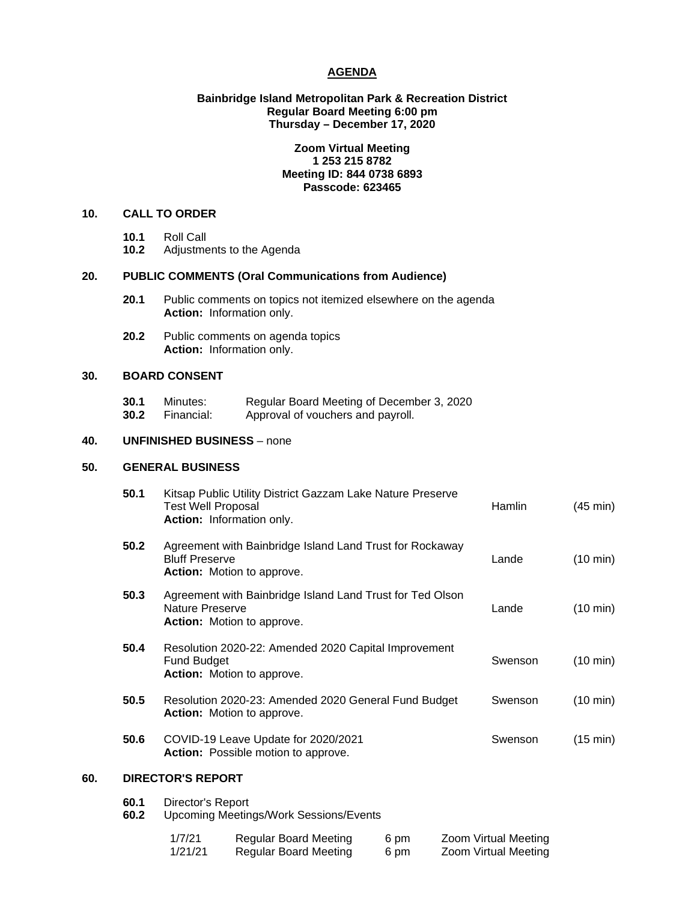#### **AGENDA**

#### **Bainbridge Island Metropolitan Park & Recreation District Regular Board Meeting 6:00 pm Thursday – December 17, 2020**

## **Zoom Virtual Meeting 1 253 215 8782 Meeting ID: 844 0738 6893 Passcode: 623465**

# **10. CALL TO ORDER**

- 
- **10.1** Roll Call **10.2** Adjustments to the Agenda

# **20. PUBLIC COMMENTS (Oral Communications from Audience)**

- **20.1** Public comments on topics not itemized elsewhere on the agenda **Action:** Information only.
- **20.2** Public comments on agenda topics **Action:** Information only.

# **30. BOARD CONSENT**

**30.1** Minutes: Regular Board Meeting of December 3, 2020<br>**30.2** Financial: Approval of vouchers and payroll. Approval of vouchers and payroll.

# **40. UNFINISHED BUSINESS** – none

#### **50. GENERAL BUSINESS**

|     | 50.1 | Kitsap Public Utility District Gazzam Lake Nature Preserve<br><b>Test Well Proposal</b><br>Action: Information only.   | Hamlin  | $(45 \text{ min})$ |  |  |
|-----|------|------------------------------------------------------------------------------------------------------------------------|---------|--------------------|--|--|
|     | 50.2 | Agreement with Bainbridge Island Land Trust for Rockaway<br><b>Bluff Preserve</b><br><b>Action:</b> Motion to approve. | Lande   | $(10 \text{ min})$ |  |  |
|     | 50.3 | Agreement with Bainbridge Island Land Trust for Ted Olson<br>Nature Preserve<br><b>Action:</b> Motion to approve.      | Lande   | $(10 \text{ min})$ |  |  |
|     | 50.4 | Resolution 2020-22: Amended 2020 Capital Improvement<br><b>Fund Budget</b><br>Action: Motion to approve.               | Swenson | $(10 \text{ min})$ |  |  |
|     | 50.5 | Resolution 2020-23: Amended 2020 General Fund Budget<br><b>Action:</b> Motion to approve.                              | Swenson | $(10 \text{ min})$ |  |  |
|     | 50.6 | COVID-19 Leave Update for 2020/2021<br>Action: Possible motion to approve.                                             | Swenson | (15 min)           |  |  |
| 60. |      | <b>DIRECTOR'S REPORT</b>                                                                                               |         |                    |  |  |
|     | 60 1 | Diroctor's Poport                                                                                                      |         |                    |  |  |

**60.1** Director's Report **60.2** Upcoming Meetings/Work Sessions/Events

| 1/7/21  | Regular Board Meeting | 6 pm | Zoom Virtual Meeting |
|---------|-----------------------|------|----------------------|
| 1/21/21 | Regular Board Meeting | 6 pm | Zoom Virtual Meeting |